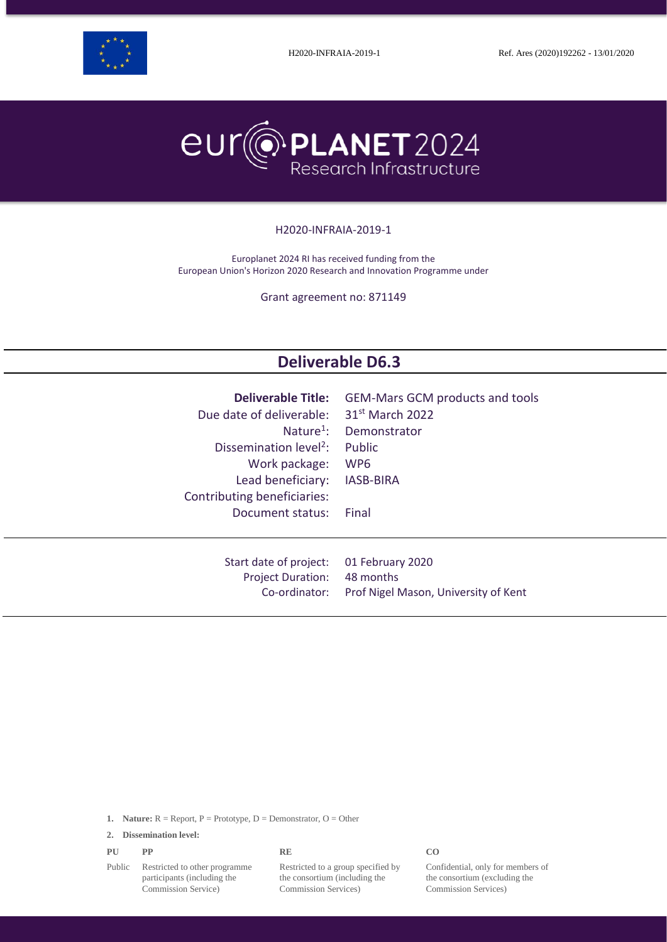



#### H2020-INFRAIA-2019-1

Europlanet 2024 RI has received funding from the European Union's Horizon 2020 Research and Innovation Programme under

Grant agreement no: 871149

# **Deliverable D6.3**

| <b>Deliverable Title:</b><br>Due date of deliverable:<br>Nature <sup>1</sup> :<br>Dissemination level <sup>2</sup> :<br>Work package:<br>Lead beneficiary:<br>Contributing beneficiaries: | <b>GEM-Mars GCM products and tools</b><br>31 <sup>st</sup> March 2022<br>Demonstrator<br>Public<br>WP <sub>6</sub><br><b>IASB-BIRA</b> |
|-------------------------------------------------------------------------------------------------------------------------------------------------------------------------------------------|----------------------------------------------------------------------------------------------------------------------------------------|
| Document status:                                                                                                                                                                          | Final                                                                                                                                  |
| Start date of project:<br><b>Project Duration:</b><br>Co-ordinator:                                                                                                                       | 01 February 2020<br>48 months<br>Prof Nigel Mason, University of Kent                                                                  |

**1. Nature:**  $R =$  Report,  $P =$  Prototype,  $D =$  Demonstrator,  $O =$  Other

**2. Dissemination level:**

| PU | $\bf PP$ | <b>RE</b> | CO. |
|----|----------|-----------|-----|
|    |          |           |     |

Public Restricted to other programme participants (including the Commission Service)

Restricted to a group specified by the consortium (including the Commission Services)

Confidential, only for members of the consortium (excluding the Commission Services)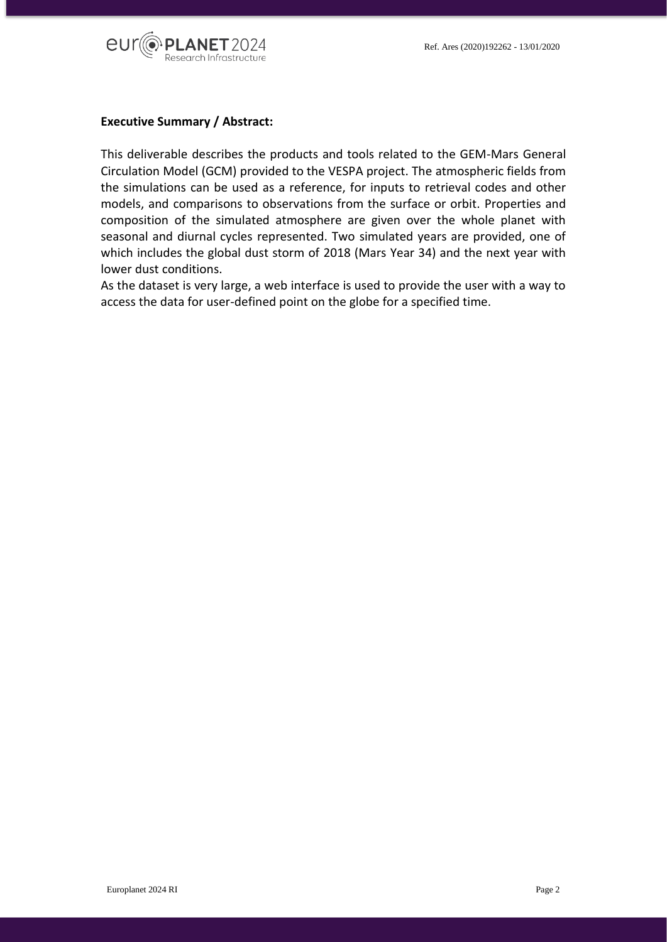

### **Executive Summary / Abstract:**

This deliverable describes the products and tools related to the GEM-Mars General Circulation Model (GCM) provided to the VESPA project. The atmospheric fields from the simulations can be used as a reference, for inputs to retrieval codes and other models, and comparisons to observations from the surface or orbit. Properties and composition of the simulated atmosphere are given over the whole planet with seasonal and diurnal cycles represented. Two simulated years are provided, one of which includes the global dust storm of 2018 (Mars Year 34) and the next year with lower dust conditions.

As the dataset is very large, a web interface is used to provide the user with a way to access the data for user-defined point on the globe for a specified time.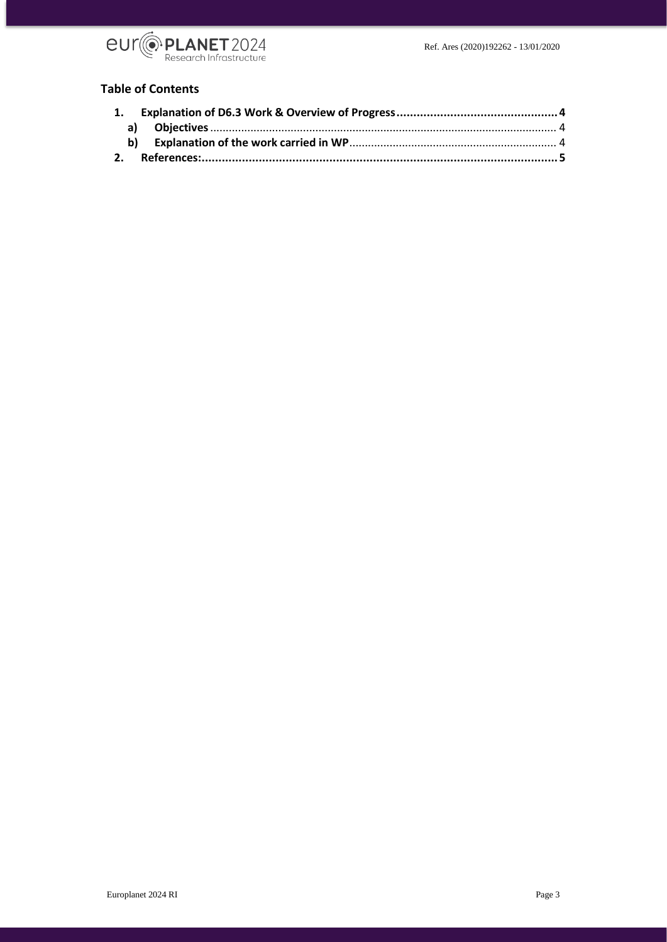

### **Table of Contents**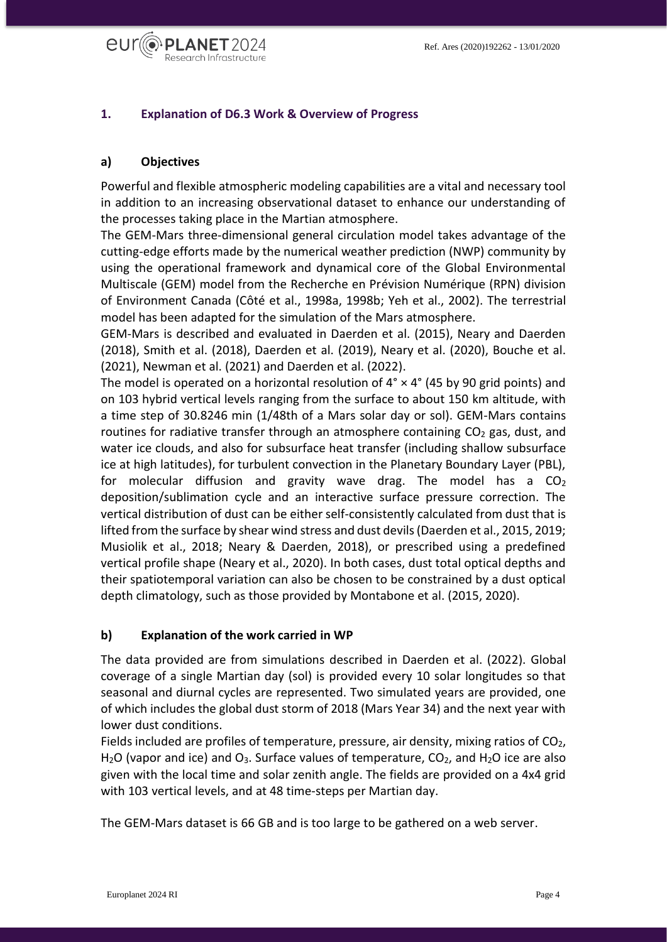

## <span id="page-3-0"></span>**1. Explanation of D6.3 Work & Overview of Progress**

## <span id="page-3-1"></span>**a) Objectives**

Powerful and flexible atmospheric modeling capabilities are a vital and necessary tool in addition to an increasing observational dataset to enhance our understanding of the processes taking place in the Martian atmosphere.

The GEM-Mars three-dimensional general circulation model takes advantage of the cutting-edge efforts made by the numerical weather prediction (NWP) community by using the operational framework and dynamical core of the Global Environmental Multiscale (GEM) model from the Recherche en Prévision Numérique (RPN) division of Environment Canada (Côté et al., 1998a, 1998b; Yeh et al., 2002). The terrestrial model has been adapted for the simulation of the Mars atmosphere.

GEM-Mars is described and evaluated in Daerden et al. (2015), Neary and Daerden (2018), Smith et al. (2018), Daerden et al. (2019), Neary et al. (2020), Bouche et al. (2021), Newman et al. (2021) and Daerden et al. (2022).

The model is operated on a horizontal resolution of  $4^{\circ} \times 4^{\circ}$  (45 by 90 grid points) and on 103 hybrid vertical levels ranging from the surface to about 150 km altitude, with a time step of 30.8246 min (1/48th of a Mars solar day or sol). GEM-Mars contains routines for radiative transfer through an atmosphere containing  $CO<sub>2</sub>$  gas, dust, and water ice clouds, and also for subsurface heat transfer (including shallow subsurface ice at high latitudes), for turbulent convection in the Planetary Boundary Layer (PBL), for molecular diffusion and gravity wave drag. The model has a  $CO<sub>2</sub>$ deposition/sublimation cycle and an interactive surface pressure correction. The vertical distribution of dust can be either self-consistently calculated from dust that is lifted from the surface by shear wind stress and dust devils (Daerden et al., 2015, 2019; Musiolik et al., 2018; Neary & Daerden, 2018), or prescribed using a predefined vertical profile shape (Neary et al., 2020). In both cases, dust total optical depths and their spatiotemporal variation can also be chosen to be constrained by a dust optical depth climatology, such as those provided by Montabone et al. (2015, 2020).

## <span id="page-3-2"></span>**b) Explanation of the work carried in WP**

The data provided are from simulations described in Daerden et al. (2022). Global coverage of a single Martian day (sol) is provided every 10 solar longitudes so that seasonal and diurnal cycles are represented. Two simulated years are provided, one of which includes the global dust storm of 2018 (Mars Year 34) and the next year with lower dust conditions.

Fields included are profiles of temperature, pressure, air density, mixing ratios of  $CO<sub>2</sub>$ , H<sub>2</sub>O (vapor and ice) and O<sub>3</sub>. Surface values of temperature,  $CO<sub>2</sub>$ , and H<sub>2</sub>O ice are also given with the local time and solar zenith angle. The fields are provided on a 4x4 grid with 103 vertical levels, and at 48 time-steps per Martian day.

The GEM-Mars dataset is 66 GB and is too large to be gathered on a web server.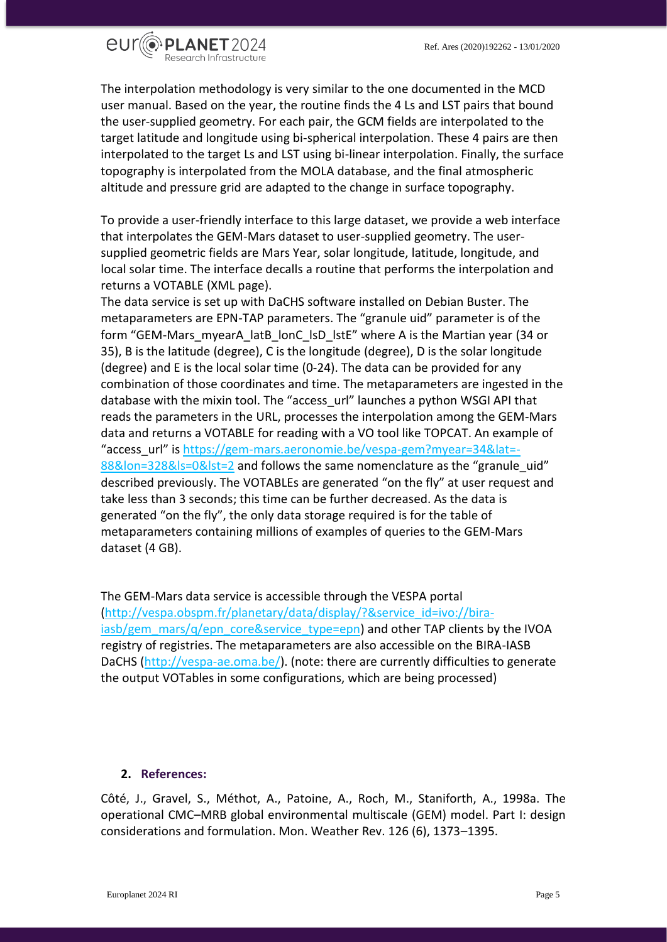

The interpolation methodology is very similar to the one documented in the MCD user manual. Based on the year, the routine finds the 4 Ls and LST pairs that bound the user-supplied geometry. For each pair, the GCM fields are interpolated to the target latitude and longitude using bi-spherical interpolation. These 4 pairs are then interpolated to the target Ls and LST using bi-linear interpolation. Finally, the surface topography is interpolated from the MOLA database, and the final atmospheric altitude and pressure grid are adapted to the change in surface topography.

To provide a user-friendly interface to this large dataset, we provide a web interface that interpolates the GEM-Mars dataset to user-supplied geometry. The usersupplied geometric fields are Mars Year, solar longitude, latitude, longitude, and local solar time. The interface decalls a routine that performs the interpolation and returns a VOTABLE (XML page).

The data service is set up with DaCHS software installed on Debian Buster. The metaparameters are EPN-TAP parameters. The "granule uid" parameter is of the form "GEM-Mars\_myearA\_latB\_lonC\_lsD\_lstE" where A is the Martian year (34 or 35), B is the latitude (degree), C is the longitude (degree), D is the solar longitude (degree) and E is the local solar time (0-24). The data can be provided for any combination of those coordinates and time. The metaparameters are ingested in the database with the mixin tool. The "access\_url" launches a python WSGI API that reads the parameters in the URL, processes the interpolation among the GEM-Mars data and returns a VOTABLE for reading with a VO tool like TOPCAT. An example of "access\_url" is [https://gem-mars.aeronomie.be/vespa-gem?myear=34&lat=-](https://gem-mars.aeronomie.be/vespa-gem?myear=34&lat=-88&lon=328&ls=0&lst=2) [88&lon=328&ls=0&lst=2](https://gem-mars.aeronomie.be/vespa-gem?myear=34&lat=-88&lon=328&ls=0&lst=2) and follows the same nomenclature as the "granule\_uid" described previously. The VOTABLEs are generated "on the fly" at user request and take less than 3 seconds; this time can be further decreased. As the data is generated "on the fly", the only data storage required is for the table of metaparameters containing millions of examples of queries to the GEM-Mars dataset (4 GB).

The GEM-Mars data service is accessible through the VESPA portal [\(http://vespa.obspm.fr/planetary/data/display/?&service\\_id=ivo://bira](http://vespa.obspm.fr/planetary/data/display/?&service_id=ivo://bira-iasb/gem_mars/q/epn_core&service_type=epn)[iasb/gem\\_mars/q/epn\\_core&service\\_type=epn\)](http://vespa.obspm.fr/planetary/data/display/?&service_id=ivo://bira-iasb/gem_mars/q/epn_core&service_type=epn) and other TAP clients by the IVOA registry of registries. The metaparameters are also accessible on the BIRA-IASB DaCHS [\(http://vespa-ae.oma.be/\)](http://vespa-ae.oma.be/). (note: there are currently difficulties to generate the output VOTables in some configurations, which are being processed)

#### <span id="page-4-0"></span>**2. References:**

Côté, J., Gravel, S., Méthot, A., Patoine, A., Roch, M., Staniforth, A., 1998a. The operational CMC–MRB global environmental multiscale (GEM) model. Part I: design considerations and formulation. Mon. Weather Rev. 126 (6), 1373–1395.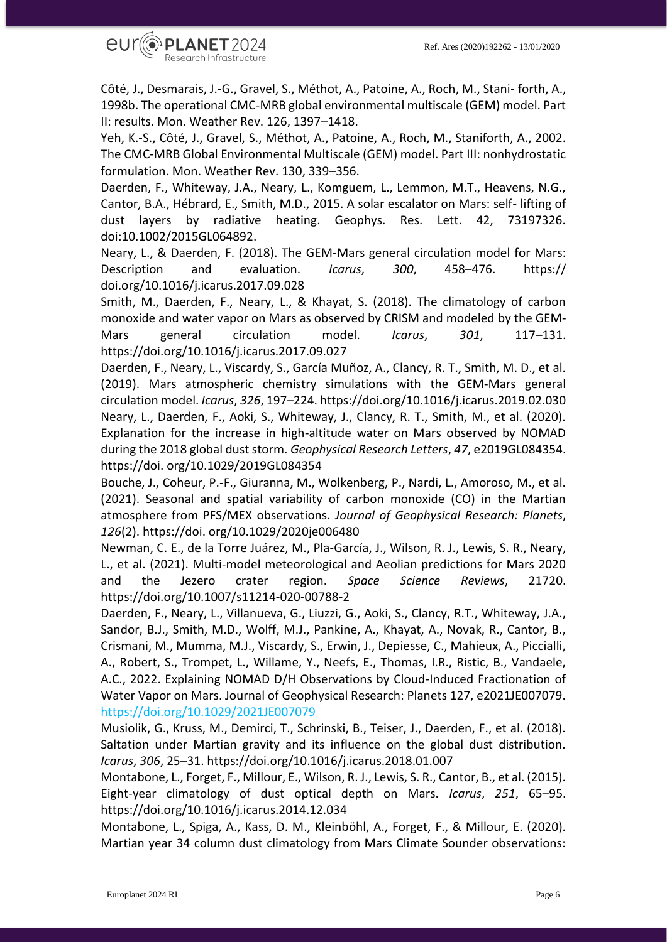

Côté, J., Desmarais, J.-G., Gravel, S., Méthot, A., Patoine, A., Roch, M., Stani- forth, A., 1998b. The operational CMC-MRB global environmental multiscale (GEM) model. Part II: results. Mon. Weather Rev. 126, 1397–1418.

Yeh, K.-S., Côté, J., Gravel, S., Méthot, A., Patoine, A., Roch, M., Staniforth, A., 2002. The CMC-MRB Global Environmental Multiscale (GEM) model. Part III: nonhydrostatic formulation. Mon. Weather Rev. 130, 339–356.

Daerden, F., Whiteway, J.A., Neary, L., Komguem, L., Lemmon, M.T., Heavens, N.G., Cantor, B.A., Hébrard, E., Smith, M.D., 2015. A solar escalator on Mars: self- lifting of dust layers by radiative heating. Geophys. Res. Lett. 42, 73197326. doi:10.1002/2015GL064892.

Neary, L., & Daerden, F. (2018). The GEM-Mars general circulation model for Mars: Description and evaluation. *Icarus*, *300*, 458–476. https:// doi.org/10.1016/j.icarus.2017.09.028

Smith, M., Daerden, F., Neary, L., & Khayat, S. (2018). The climatology of carbon monoxide and water vapor on Mars as observed by CRISM and modeled by the GEM-Mars general circulation model. *Icarus*, *301*, 117–131. https://doi.org/10.1016/j.icarus.2017.09.027

Daerden, F., Neary, L., Viscardy, S., García Muñoz, A., Clancy, R. T., Smith, M. D., et al. (2019). Mars atmospheric chemistry simulations with the GEM-Mars general circulation model. *Icarus*, *326*, 197–224. https://doi.org/10.1016/j.icarus.2019.02.030 Neary, L., Daerden, F., Aoki, S., Whiteway, J., Clancy, R. T., Smith, M., et al. (2020). Explanation for the increase in high-altitude water on Mars observed by NOMAD during the 2018 global dust storm. *Geophysical Research Letters*, *47*, e2019GL084354. https://doi. org/10.1029/2019GL084354

Bouche, J., Coheur, P.-F., Giuranna, M., Wolkenberg, P., Nardi, L., Amoroso, M., et al. (2021). Seasonal and spatial variability of carbon monoxide (CO) in the Martian atmosphere from PFS/MEX observations. *Journal of Geophysical Research: Planets*, *126*(2). https://doi. org/10.1029/2020je006480

Newman, C. E., de la Torre Juárez, M., Pla-García, J., Wilson, R. J., Lewis, S. R., Neary, L., et al. (2021). Multi-model meteorological and Aeolian predictions for Mars 2020 and the Jezero crater region. *Space Science Reviews*, 21720. https://doi.org/10.1007/s11214-020-00788-2

Daerden, F., Neary, L., Villanueva, G., Liuzzi, G., Aoki, S., Clancy, R.T., Whiteway, J.A., Sandor, B.J., Smith, M.D., Wolff, M.J., Pankine, A., Khayat, A., Novak, R., Cantor, B., Crismani, M., Mumma, M.J., Viscardy, S., Erwin, J., Depiesse, C., Mahieux, A., Piccialli, A., Robert, S., Trompet, L., Willame, Y., Neefs, E., Thomas, I.R., Ristic, B., Vandaele, A.C., 2022. Explaining NOMAD D/H Observations by Cloud-Induced Fractionation of Water Vapor on Mars. Journal of Geophysical Research: Planets 127, e2021JE007079. <https://doi.org/10.1029/2021JE007079>

Musiolik, G., Kruss, M., Demirci, T., Schrinski, B., Teiser, J., Daerden, F., et al. (2018). Saltation under Martian gravity and its influence on the global dust distribution. *Icarus*, *306*, 25–31. https://doi.org/10.1016/j.icarus.2018.01.007

Montabone, L., Forget, F., Millour, E., Wilson, R. J., Lewis, S. R., Cantor, B., et al. (2015). Eight-year climatology of dust optical depth on Mars. *Icarus*, *251*, 65–95. https://doi.org/10.1016/j.icarus.2014.12.034

Montabone, L., Spiga, A., Kass, D. M., Kleinböhl, A., Forget, F., & Millour, E. (2020). Martian year 34 column dust climatology from Mars Climate Sounder observations: